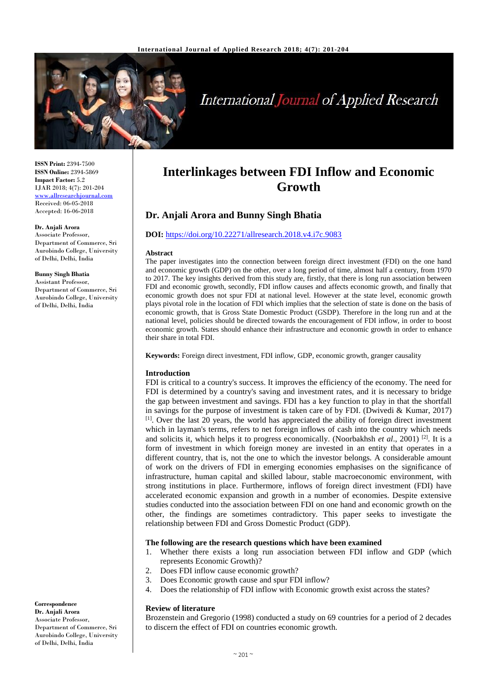

## **International Journal of Applied Research**

**ISSN Print:** 2394-7500 **ISSN Online:** 2394-5869 **Impact Factor:** 5.2 IJAR 2018; 4(7): 201-204 [www.allresearchjournal.com](http://www.allresearchjournal.com/) Received: 06-05-2018 Accepted: 16-06-2018

#### **Dr. Anjali Arora**

Associate Professor, Department of Commerce, Sri Aurobindo College, University of Delhi, Delhi, India

#### **Bunny Singh Bhatia**

Assistant Professor, Department of Commerce, Sri Aurobindo College, University of Delhi, Delhi, India

# **Interlinkages between FDI Inflow and Economic**

**Growth**

### **Dr. Anjali Arora and Bunny Singh Bhatia**

#### **DOI:** <https://doi.org/10.22271/allresearch.2018.v4.i7c.9083>

#### **Abstract**

The paper investigates into the connection between foreign direct investment (FDI) on the one hand and economic growth (GDP) on the other, over a long period of time, almost half a century, from 1970 to 2017. The key insights derived from this study are, firstly, that there is long run association between FDI and economic growth, secondly, FDI inflow causes and affects economic growth, and finally that economic growth does not spur FDI at national level. However at the state level, economic growth plays pivotal role in the location of FDI which implies that the selection of state is done on the basis of economic growth, that is Gross State Domestic Product (GSDP). Therefore in the long run and at the national level, policies should be directed towards the encouragement of FDI inflow, in order to boost economic growth. States should enhance their infrastructure and economic growth in order to enhance their share in total FDI.

**Keywords:** Foreign direct investment, FDI inflow, GDP, economic growth, granger causality

#### **Introduction**

FDI is critical to a country's success. It improves the efficiency of the economy. The need for FDI is determined by a country's saving and investment rates, and it is necessary to bridge the gap between investment and savings. FDI has a key function to play in that the shortfall in savings for the purpose of investment is taken care of by FDI. (Dwivedi & Kumar, 2017)  $<sup>[1]</sup>$ . Over the last 20 years, the world has appreciated the ability of foreign direct investment</sup> which in layman's terms, refers to net foreign inflows of cash into the country which needs and solicits it, which helps it to progress economically. (Noorbakhsh *et al.*, 2001) <sup>[2]</sup>. It is a form of investment in which foreign money are invested in an entity that operates in a different country, that is, not the one to which the investor belongs. A considerable amount of work on the drivers of FDI in emerging economies emphasises on the significance of infrastructure, human capital and skilled labour, stable macroeconomic environment, with strong institutions in place. Furthermore, inflows of foreign direct investment (FDI) have accelerated economic expansion and growth in a number of economies. Despite extensive studies conducted into the association between FDI on one hand and economic growth on the other, the findings are sometimes contradictory. This paper seeks to investigate the relationship between FDI and Gross Domestic Product (GDP).

#### **The following are the research questions which have been examined**

- 1. Whether there exists a long run association between FDI inflow and GDP (which represents Economic Growth)?
- 2. Does FDI inflow cause economic growth?
- 3. Does Economic growth cause and spur FDI inflow?
- 4. Does the relationship of FDI inflow with Economic growth exist across the states?

#### **Review of literature**

Brozenstein and Gregorio (1998) conducted a study on 69 countries for a period of 2 decades to discern the effect of FDI on countries economic growth.

**Correspondence Dr. Anjali Arora** Associate Professor, Department of Commerce, Sri Aurobindo College, University of Delhi, Delhi, India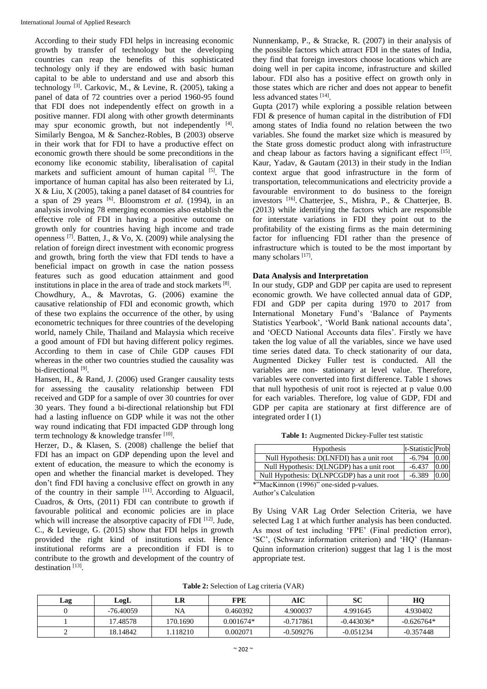According to their study FDI helps in increasing economic growth by transfer of technology but the developing countries can reap the benefits of this sophisticated technology only if they are endowed with basic human capital to be able to understand and use and absorb this technology<sup>[3]</sup>. Carkovic, M., & Levine, R. (2005), taking a panel of data of 72 countries over a period 1960-95 found that FDI does not independently effect on growth in a positive manner. FDI along with other growth determinants may spur economic growth, but not independently [4]. Similarly Bengoa, M & Sanchez-Robles, B (2003) observe in their work that for FDI to have a productive effect on economic growth there should be some preconditions in the economy like economic stability, liberalisation of capital markets and sufficient amount of human capital  $[5]$ . The importance of human capital has also been reiterated by Li, X & Liu, X (2005), taking a panel dataset of 84 countries for a span of 29 years  $[6]$ . Bloomstrom *et al.* (1994), in an analysis involving 78 emerging economies also establish the effective role of FDI in having a positive outcome on growth only for countries having high income and trade openness  $^{[7]}$ . Batten, J., & Vo, X. (2009) while analysing the relation of foreign direct investment with economic progress and growth, bring forth the view that FDI tends to have a beneficial impact on growth in case the nation possess features such as good education attainment and good institutions in place in the area of trade and stock markets [8]. Chowdhury, A., & Mavrotas, G. (2006) examine the causative relationship of FDI and economic growth, which of these two explains the occurrence of the other, by using econometric techniques for three countries of the developing world, namely Chile, Thailand and Malaysia which receive a good amount of FDI but having different policy regimes. According to them in case of Chile GDP causes FDI whereas in the other two countries studied the causality was bi-directional [9].

Hansen, H., & Rand, J. (2006) used Granger causality tests for assessing the causality relationship between FDI received and GDP for a sample of over 30 countries for over 30 years. They found a bi-directional relationship but FDI had a lasting influence on GDP while it was not the other way round indicating that FDI impacted GDP through long term technology & knowledge transfer  $[10]$ .

Herzer, D., & Klasen, S. (2008) challenge the belief that FDI has an impact on GDP depending upon the level and extent of education, the measure to which the economy is open and whether the financial market is developed. They don't find FDI having a conclusive effect on growth in any of the country in their sample  $[11]$ . According to Alguacil, Cuadros, & Orts, (2011) FDI can contribute to growth if favourable political and economic policies are in place which will increase the absorptive capacity of FDI <a>[12]</a>. Jude, C., & Levieuge, G. (2015) show that FDI helps in growth provided the right kind of institutions exist. Hence institutional reforms are a precondition if FDI is to contribute to the growth and development of the country of destination<sup>[13]</sup>.

Nunnenkamp, P., & Stracke, R. (2007) in their analysis of the possible factors which attract FDI in the states of India, they find that foreign investors choose locations which are doing well in per capita income, infrastructure and skilled labour. FDI also has a positive effect on growth only in those states which are richer and does not appear to benefit less advanced states [14] .

Gupta (2017) while exploring a possible relation between FDI & presence of human capital in the distribution of FDI among states of India found no relation between the two variables. She found the market size which is measured by the State gross domestic product along with infrastructure and cheap labour as factors having a significant effect [15]. Kaur, Yadav, & Gautam (2013) in their study in the Indian context argue that good infrastructure in the form of transportation, telecommunications and electricity provide a favourable environment to do business to the foreign investors [16] . Chatterjee, S., Mishra, P., & Chatterjee, B. (2013) while identifying the factors which are responsible for interstate variations in FDI they point out to the profitability of the existing firms as the main determining factor for influencing FDI rather than the presence of infrastructure which is touted to be the most important by many scholars [17].

#### **Data Analysis and Interpretation**

In our study, GDP and GDP per capita are used to represent economic growth. We have collected annual data of GDP, FDI and GDP per capita during 1970 to 2017 from International Monetary Fund's 'Balance of Payments Statistics Yearbook', 'World Bank national accounts data', and 'OECD National Accounts data files'. Firstly we have taken the log value of all the variables, since we have used time series dated data. To check stationarity of our data, Augmented Dickey Fuller test is conducted. All the variables are non- stationary at level value. Therefore, variables were converted into first difference. Table 1 shows that null hypothesis of unit root is rejected at p value 0.00 for each variables. Therefore, log value of GDP, FDI and GDP per capita are stationary at first difference are of integrated order I (1)

**Table 1:** Augmented Dickey-Fuller test statistic

| <b>Hypothesis</b>                           | t-Statistic Prob |      |
|---------------------------------------------|------------------|------|
| Null Hypothesis: D(LNFDI) has a unit root   | $-6.794$         | 0.00 |
| Null Hypothesis: D(LNGDP) has a unit root   | $-6.437$         | 0.00 |
| Null Hypothesis: D(LNPCGDP) has a unit root | $-6.389$         | 0.00 |
| *"MacKinnon (1996)" one-sided p-values.     |                  |      |

Author's Calculation

By Using VAR Lag Order Selection Criteria, we have selected Lag 1 at which further analysis has been conducted. As most of test including 'FPE' (Final prediction error), 'SC', (Schwarz information criterion) and 'HQ' (Hannan-Quinn information criterion) suggest that lag 1 is the most appropriate test.

**Table 2:** Selection of Lag criteria (VAR)

| Lag | LogL      | LR        | <b>FPE</b>  | AIC         | SС           | HO           |
|-----|-----------|-----------|-------------|-------------|--------------|--------------|
|     | -76.40059 | <b>NA</b> | 0.460392    | 4.900037    | 4.991645     | 4.930402     |
|     | 17.48578  | 170.1690  | $0.001674*$ | $-0.717861$ | $-0.443036*$ | $-0.626764*$ |
|     | 18.14842  | 118210    | 0.002071    | $-0.509276$ | $-0.051234$  | $-0.357448$  |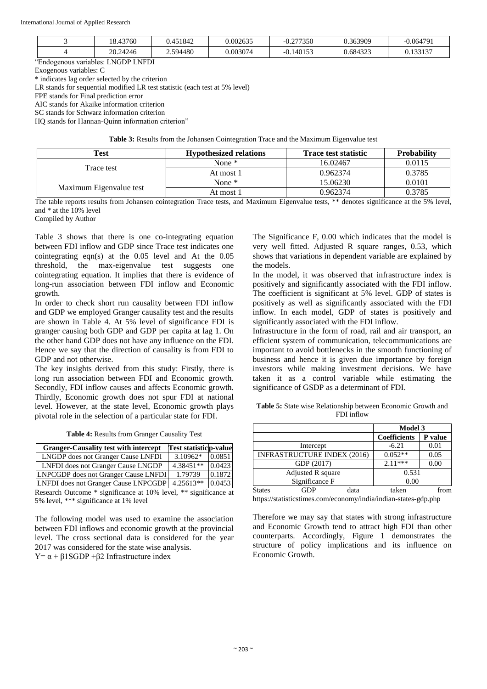| 43760<br>$\Omega$      | 0 451842 | 0.002635 | .277350<br>◡.∠   | .363909       | $-0.06479'$ |
|------------------------|----------|----------|------------------|---------------|-------------|
| 24246<br>n n<br>$\sim$ | .594480  | 003074.  | $.14015^{\circ}$ | .684322<br>__ | 0.100107    |

"Endogenous variables: LNGDP LNFDI

Exogenous variables: C

\* indicates lag order selected by the criterion

LR stands for sequential modified LR test statistic (each test at 5% level)

FPE stands for Final prediction error

AIC stands for Akaike information criterion

SC stands for Schwarz information criterion

HQ stands for Hannan-Quinn information criterion"

**Table 3:** Results from the Johansen Cointegration Trace and the Maximum Eigenvalue test

| Test                    | <b>Hypothesized relations</b> | <b>Trace test statistic</b> | <b>Probability</b> |
|-------------------------|-------------------------------|-----------------------------|--------------------|
|                         | None $*$                      | 16.02467                    | 0.0115             |
| Trace test              | At most 1                     | 0.962374                    | 0.3785             |
|                         | None $*$                      | 15.06230                    | 0.0101             |
| Maximum Eigenvalue test | At most 1                     | 0.962374                    | 0.3785             |

The table reports results from Johansen cointegration Trace tests, and Maximum Eigenvalue tests, \*\* denotes significance at the 5% level, and \* at the 10% level

Compiled by Author

Table 3 shows that there is one co-integrating equation between FDI inflow and GDP since Trace test indicates one cointegrating eqn(s) at the 0.05 level and At the 0.05 threshold, the max-eigenvalue test suggests one cointegrating equation. It implies that there is evidence of long-run association between FDI inflow and Economic growth.

In order to check short run causality between FDI inflow and GDP we employed Granger causality test and the results are shown in Table 4. At 5% level of significance FDI is granger causing both GDP and GDP per capita at lag 1. On the other hand GDP does not have any influence on the FDI. Hence we say that the direction of causality is from FDI to GDP and not otherwise.

The key insights derived from this study: Firstly, there is long run association between FDI and Economic growth. Secondly, FDI inflow causes and affects Economic growth. Thirdly, Economic growth does not spur FDI at national level. However, at the state level, Economic growth plays pivotal role in the selection of a particular state for FDI.

**Table 4:** Results from Granger Causality Test

| <b>Granger-Causality test with intercept</b>                     | <b>Test statisticp-value</b> |        |  |  |
|------------------------------------------------------------------|------------------------------|--------|--|--|
| LNGDP does not Granger Cause LNFDI                               | 3.10962*                     | 0.0851 |  |  |
| <b>LNFDI</b> does not Granger Cause LNGDP                        | 4.38451**                    | 0.0423 |  |  |
| <b>LNPCGDP</b> does not Granger Cause LNFDI                      | 1.79739                      | 0.1872 |  |  |
| LNFDI does not Granger Cause LNPCGDP                             | $4.25613**$                  | 0.0453 |  |  |
| Research Outcome * significance at 10% level, ** significance at |                              |        |  |  |
| 5% level, *** significance at 1% level                           |                              |        |  |  |

The following model was used to examine the association between FDI inflows and economic growth at the provincial level. The cross sectional data is considered for the year 2017 was considered for the state wise analysis. Y=  $\alpha$  + β1SGDP +β2 Infrastructure index

The Significance F, 0.00 which indicates that the model is very well fitted. Adjusted R square ranges, 0.53, which shows that variations in dependent variable are explained by the models.

In the model, it was observed that infrastructure index is positively and significantly associated with the FDI inflow. The coefficient is significant at 5% level. GDP of states is positively as well as significantly associated with the FDI inflow. In each model, GDP of states is positively and significantly associated with the FDI inflow.

Infrastructure in the form of road, rail and air transport, an efficient system of communication, telecommunications are important to avoid bottlenecks in the smooth functioning of business and hence it is given due importance by foreign investors while making investment decisions. We have taken it as a control variable while estimating the significance of GSDP as a determinant of FDI.

| Table 5: State wise Relationship between Economic Growth and |
|--------------------------------------------------------------|
| FDI inflow                                                   |

|                        |                                    |      | <b>Model 3</b>      |         |  |
|------------------------|------------------------------------|------|---------------------|---------|--|
|                        |                                    |      | <b>Coefficients</b> | P value |  |
|                        | Intercept                          |      | $-6.21$             | 0.01    |  |
|                        | <b>INFRASTRUCTURE INDEX (2016)</b> |      | $0.052**$           | 0.05    |  |
|                        | GDP (2017)                         |      | $2.11***$           | 0.00    |  |
| Adjusted R square      |                                    |      | 0.531               |         |  |
| Significance F<br>0.00 |                                    |      |                     |         |  |
| <b>States</b>          |                                    | data | taken               |         |  |

https://statisticstimes.com/economy/india/indian-states-gdp.php

Therefore we may say that states with strong infrastructure and Economic Growth tend to attract high FDI than other counterparts. Accordingly, Figure 1 demonstrates the structure of policy implications and its influence on Economic Growth.